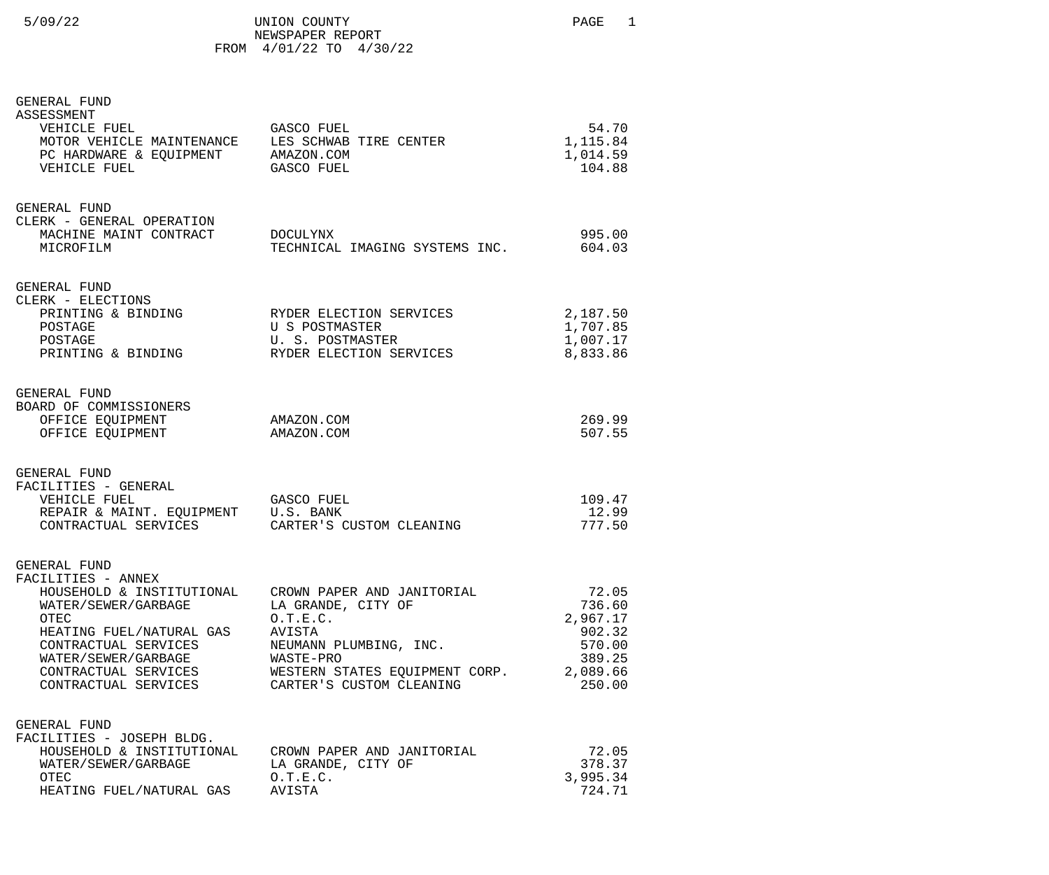|  | /09/ | 2. |  |
|--|------|----|--|
|  |      |    |  |

FROM 4/01/22 TO 4/30/22

## GENERAL FUND

| ASSESSMENT<br>VEHICLE FUEL<br>MOTOR VEHICLE MAINTENANCE<br>PC HARDWARE & EQUIPMENT AMAZON.COM<br>VEHICLE FUEL                                                                                | GASCO FUEL<br>LES SCHWAB TIRE CENTER<br><b>GASCO FUEL</b>                                                                                                                                             | 54.70<br>1,115.84<br>1,014.59<br>104.88                                         |
|----------------------------------------------------------------------------------------------------------------------------------------------------------------------------------------------|-------------------------------------------------------------------------------------------------------------------------------------------------------------------------------------------------------|---------------------------------------------------------------------------------|
| GENERAL FUND<br>CLERK - GENERAL OPERATION<br>MACHINE MAINT CONTRACT<br>MICROFILM                                                                                                             | DOCULYNX<br>TECHNICAL IMAGING SYSTEMS INC.                                                                                                                                                            | 995.00<br>604.03                                                                |
| GENERAL FUND<br>CLERK - ELECTIONS<br>PRINTING & BINDING RYDER ELECTION SERVICES<br>POSTAGE<br>POSTAGE<br>PRINTING & BINDING                                                                  | U S POSTMASTER<br>U. S. POSTMASTER<br>RYDER ELECTION SERVICES                                                                                                                                         | 2,187.50<br>1,707.85<br>1,007.17<br>8,833.86                                    |
| GENERAL FUND<br>BOARD OF COMMISSIONERS<br>OFFICE EQUIPMENT<br>OFFICE EQUIPMENT                                                                                                               | AMAZON.COM<br>AMAZON.COM                                                                                                                                                                              | 269.99<br>507.55                                                                |
| GENERAL FUND<br>FACILITIES - GENERAL<br>VEHICLE FUEL<br>REPAIR & MAINT. EQUIPMENT U.S. BANK<br>CONTRACTUAL SERVICES CARTER'S CUSTOM CLEANING                                                 | GASCO FUEL                                                                                                                                                                                            | 109.47<br>12.99<br>777.50                                                       |
| GENERAL FUND<br>FACILITIES - ANNEX<br>WATER/SEWER/GARBAGE<br>OTEC<br>HEATING FUEL/NATURAL GAS<br>CONTRACTUAL SERVICES<br>WATER/SEWER/GARBAGE<br>CONTRACTUAL SERVICES<br>CONTRACTUAL SERVICES | HOUSEHOLD & INSTITUTIONAL CROWN PAPER AND JANITORIAL<br>LA GRANDE, CITY OF<br>0.T.E.C.<br>AVISTA<br>NEUMANN PLUMBING, INC.<br>WASTE-PRO<br>WESTERN STATES EQUIPMENT CORP.<br>CARTER'S CUSTOM CLEANING | 72.05<br>736.60<br>2,967.17<br>902.32<br>570.00<br>389.25<br>2,089.66<br>250.00 |
| GENERAL FUND<br>FACILITIES - JOSEPH BLDG.<br>HOUSEHOLD & INSTITUTIONAL<br>WATER/SEWER/GARBAGE<br>OTEC<br>HEATING FUEL/NATURAL GAS                                                            | CROWN PAPER AND JANITORIAL<br>LA GRANDE, CITY OF<br>0.T.E.C.<br>AVISTA                                                                                                                                | 72.05<br>378.37<br>3,995.34<br>724.71                                           |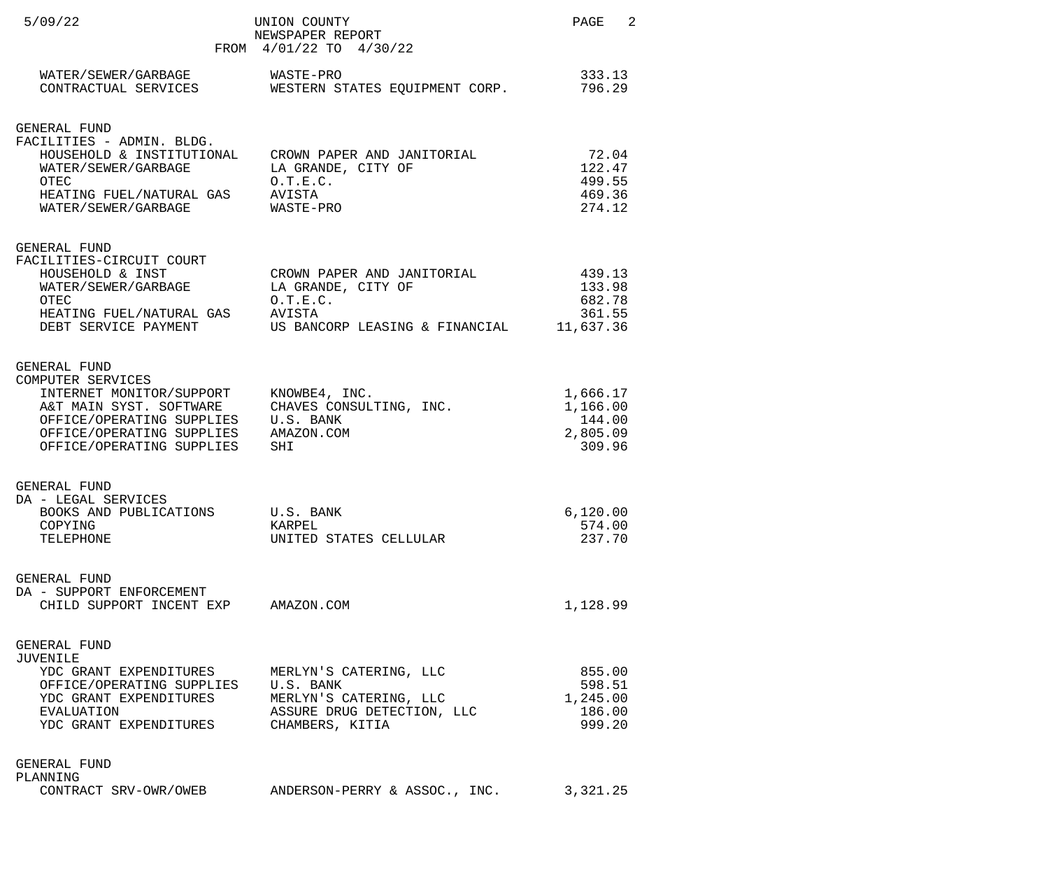| 5/09/22                                                                                                                                                                         | UNION COUNTY<br>NEWSPAPER REPORT<br>FROM 4/01/22 TO 4/30/22                                       | PAGE 2                                               |
|---------------------------------------------------------------------------------------------------------------------------------------------------------------------------------|---------------------------------------------------------------------------------------------------|------------------------------------------------------|
| WATER/SEWER/GARBAGE<br>CONTRACTUAL SERVICES                                                                                                                                     | WASTE-PRO<br>WESTERN STATES EQUIPMENT CORP.                                                       | 333.13<br>796.29                                     |
| GENERAL FUND<br>FACILITIES - ADMIN. BLDG.<br>HOUSEHOLD & INSTITUTIONAL<br>WATER/SEWER/GARBAGE<br>OTEC<br>HEATING FUEL/NATURAL GAS<br>WATER/SEWER/GARBAGE                        | CROWN PAPER AND JANITORIAL<br>LA GRANDE, CITY OF<br>0.T.E.C.<br>AVISTA<br>WASTE-PRO               | 72.04<br>122.47<br>499.55<br>469.36<br>274.12        |
| GENERAL FUND<br>FACILITIES-CIRCUIT COURT<br>HOUSEHOLD & INST<br>WATER/SEWER/GARBAGE<br>OTEC<br>HEATING FUEL/NATURAL GAS AVISTA<br>DEBT SERVICE PAYMENT                          | CROWN PAPER AND JANITORIAL<br>LA GRANDE, CITY OF<br>0.T.E.C.<br>US BANCORP LEASING & FINANCIAL    | 439.13<br>133.98<br>682.78<br>361.55<br>11,637.36    |
| GENERAL FUND<br>COMPUTER SERVICES<br>INTERNET MONITOR/SUPPORT<br>A&T MAIN SYST. SOFTWARE<br>OFFICE/OPERATING SUPPLIES<br>OFFICE/OPERATING SUPPLIES<br>OFFICE/OPERATING SUPPLIES | KNOWBE4, INC.<br>CHAVES CONSULTING, INC.<br>U.S. BANK<br>AMAZON.COM<br>SHI                        | 1,666.17<br>1,166.00<br>144.00<br>2,805.09<br>309.96 |
| <b>GENERAL FUND</b><br>DA - LEGAL SERVICES<br>BOOKS AND PUBLICATIONS<br>COPYING<br>TELEPHONE                                                                                    | U.S. BANK<br>KARPEL<br>UNITED STATES CELLULAR                                                     | 6,120.00<br>574.00<br>237.70                         |
| GENERAL FUND<br>DA - SUPPORT ENFORCEMENT<br>CHILD SUPPORT INCENT EXP AMAZON.COM                                                                                                 |                                                                                                   | 1,128.99                                             |
| GENERAL FUND<br>JUVENILE<br>YDC GRANT EXPENDITURES<br>OFFICE/OPERATING SUPPLIES U.S. BANK<br>YDC GRANT EXPENDITURES<br>EVALUATION<br>YDC GRANT EXPENDITURES                     | MERLYN'S CATERING, LLC<br>MERLYN'S CATERING, LLC<br>ASSURE DRUG DETECTION, LLC<br>CHAMBERS, KITIA | 855.00<br>598.51<br>1,245.00<br>186.00<br>999.20     |
| GENERAL FUND<br>PLANNING<br>CONTRACT SRV-OWR/OWEB                                                                                                                               | ANDERSON-PERRY & ASSOC., INC.                                                                     | 3,321.25                                             |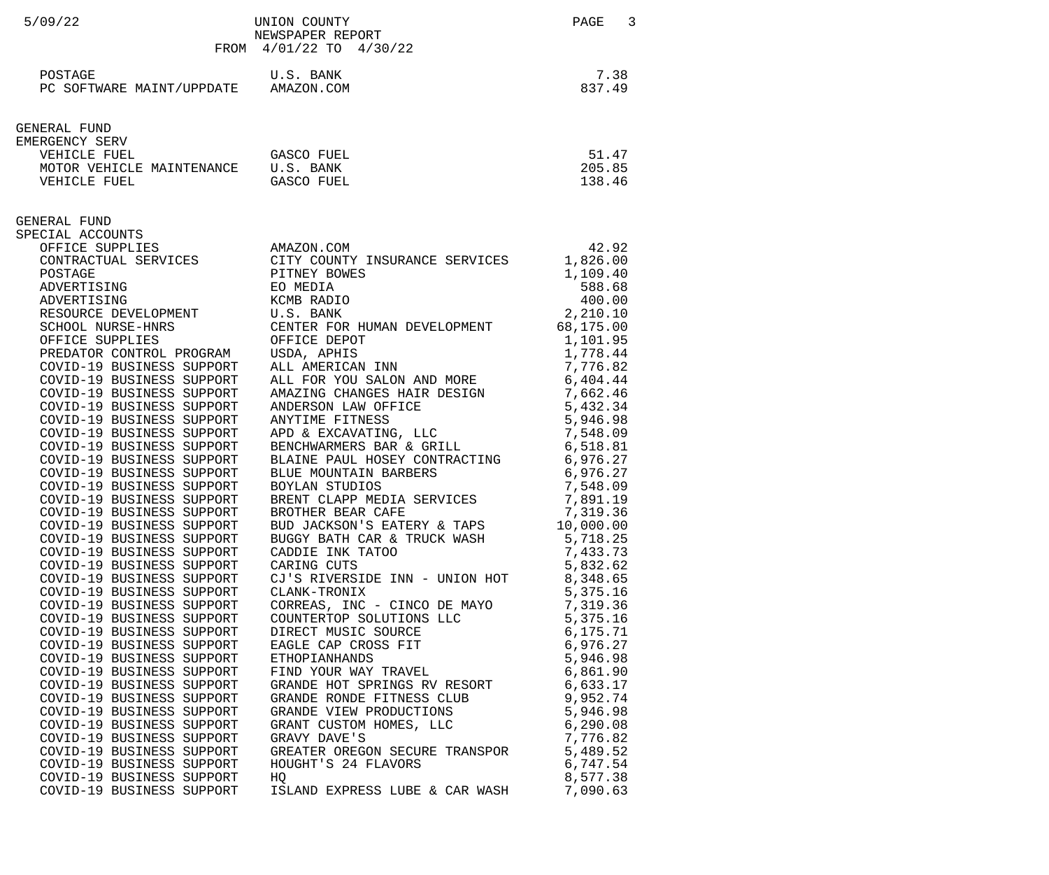| 7.38<br>POSTAGE<br>U.S. BANK<br>837.49<br>PC SOFTWARE MAINT/UPPDATE AMAZON.COM                                                                                                                                                                                                                                                                                                                                                                                                                                                                                                                                                                                                                                                                                                                                                                                                                                                                                                                                                                                                                                                                                                                                                                                                                                                                                                                                                                                                                                                                                                                                                                                                                                                                                                                                                                                                                                                                                                                                                                                                                                                                                                                                                                                                                                                                                                                                                                                                                                                                                                                                                                                                                                                                                                         |  |
|----------------------------------------------------------------------------------------------------------------------------------------------------------------------------------------------------------------------------------------------------------------------------------------------------------------------------------------------------------------------------------------------------------------------------------------------------------------------------------------------------------------------------------------------------------------------------------------------------------------------------------------------------------------------------------------------------------------------------------------------------------------------------------------------------------------------------------------------------------------------------------------------------------------------------------------------------------------------------------------------------------------------------------------------------------------------------------------------------------------------------------------------------------------------------------------------------------------------------------------------------------------------------------------------------------------------------------------------------------------------------------------------------------------------------------------------------------------------------------------------------------------------------------------------------------------------------------------------------------------------------------------------------------------------------------------------------------------------------------------------------------------------------------------------------------------------------------------------------------------------------------------------------------------------------------------------------------------------------------------------------------------------------------------------------------------------------------------------------------------------------------------------------------------------------------------------------------------------------------------------------------------------------------------------------------------------------------------------------------------------------------------------------------------------------------------------------------------------------------------------------------------------------------------------------------------------------------------------------------------------------------------------------------------------------------------------------------------------------------------------------------------------------------------|--|
|                                                                                                                                                                                                                                                                                                                                                                                                                                                                                                                                                                                                                                                                                                                                                                                                                                                                                                                                                                                                                                                                                                                                                                                                                                                                                                                                                                                                                                                                                                                                                                                                                                                                                                                                                                                                                                                                                                                                                                                                                                                                                                                                                                                                                                                                                                                                                                                                                                                                                                                                                                                                                                                                                                                                                                                        |  |
| GENERAL FUND<br>EMERGENCY SERV<br>51.47<br>VEHICLE FUEL<br>GASCO FUEL<br>205.85<br>MOTOR VEHICLE MAINTENANCE U.S. BANK<br>GASCO FUEL<br>138.46<br>VEHICLE FUEL                                                                                                                                                                                                                                                                                                                                                                                                                                                                                                                                                                                                                                                                                                                                                                                                                                                                                                                                                                                                                                                                                                                                                                                                                                                                                                                                                                                                                                                                                                                                                                                                                                                                                                                                                                                                                                                                                                                                                                                                                                                                                                                                                                                                                                                                                                                                                                                                                                                                                                                                                                                                                         |  |
| GENERAL FUND<br>SPECIAL ACCOUNTS<br>OFFICE SUPPLIES<br>42.92<br>AMAZON.COM<br>CONTRACTUAL SERVICES CITY COUNTY INSURANCE SERVICES<br>1,826.00<br>PITNEY BOWES<br>1,109.40<br>POSTAGE<br>ADVERTISING<br>588.68<br>EO MEDIA<br>400.00<br>ADVERTISING<br>KCMB RADIO<br>RESOURCE DEVELOPMENT U.S. BANK<br>2,210.10<br>SCHOOL NURSE-HNRS CENTER FOR HUMAN DEVELOPMENT 68,175.00<br>OFFICE SUPPLIES<br>OFFICE DEPOT<br>1,101.95<br>PREDATOR CONTROL PROGRAM<br>USDA, APHIS<br>1,778.44<br>ALL AMERICAN INN<br>COVID-19 BUSINESS SUPPORT<br>7,776.82<br>ALL FOR YOU SALON AND MORE<br>COVID-19 BUSINESS SUPPORT<br>6,404.44<br>COVID-19 BUSINESS SUPPORT<br>AMAZING CHANGES HAIR DESIGN 7,662.46<br>COVID-19 BUSINESS SUPPORT<br>ANDERSON LAW OFFICE<br>5,432.34<br>COVID-19 BUSINESS SUPPORT<br>ANYTIME FITNESS<br>5,946.98<br>APD & EXCAVATING, LLC<br>COVID-19 BUSINESS SUPPORT<br>7,548.09<br>COVID-19 BUSINESS SUPPORT<br>BENCHWARMERS BAR & GRILL<br>6,518.81<br>BLAINE PAUL HOSEY CONTRACTING 6,976.27<br>COVID-19 BUSINESS SUPPORT<br>COVID-19 BUSINESS SUPPORT<br>BLUE MOUNTAIN BARBERS<br>BOYLAN STUDIOS<br>6,976.27<br>COVID-19 BUSINESS SUPPORT<br>7,548.09<br>BRENT CLAPP MEDIA SERVICES<br>7,891.19<br>COVID-19 BUSINESS SUPPORT<br>BROTHER BEAR CAFE<br>7,319.36<br>COVID-19 BUSINESS SUPPORT<br>BUD JACKSON'S EATERY & TAPS 10,000.00<br>COVID-19 BUSINESS SUPPORT<br>BUGGY BATH CAR & TRUCK WASH 5,718.25<br>CADDIE INK TATOO 7,433.73<br>COVID-19 BUSINESS SUPPORT<br>COVID-19 BUSINESS SUPPORT<br>COVID-19 BUSINESS SUPPORT<br>CARING CUTS<br>5,832.62<br>CJ'S RIVERSIDE INN - UNION HOT $8,348.65$<br>COVID-19 BUSINESS SUPPORT<br>COVID-19 BUSINESS SUPPORT<br>5,375.16<br>CLANK-TRONIX<br>CLANK-TRONIX<br>CORREAS, INC - CINCO DE MAYO 7,319.36<br>COUNTERTOP SOLUTIONS LLC 5,375.16<br>DIRECT MUSIC SOURCE 6,175.71<br>EAGLE CAP CROSS FIT 6,976.27<br>ETHOPIANHANDS 5,946.98<br>FIND YOUR WAY TRAVEL 6,861.90<br>GRANDE HOT SPRINGS<br>COVID-19 BUSINESS SUPPORT<br>COVID-19 BUSINESS SUPPORT<br>COVID-19 BUSINESS SUPPORT<br>COVID-19 BUSINESS SUPPORT<br>COVID-19 BUSINESS SUPPORT<br>COVID-19 BUSINESS SUPPORT<br>COVID-19 BUSINESS SUPPORT<br>COVID-19 BUSINESS SUPPORT<br>COVID-19 BUSINESS SUPPORT<br>COVID-19 BUSINESS SUPPORT<br>COVID-19 BUSINESS SUPPORT<br>GRAVY DAVE'S<br>7,776.82<br>$\begin{array}{lllllll} \text{CIRL} & \text{CIRL} & \text{CIRL} & \text{CIRL} \\ \text{GREATER} & \text{OREGON} & \text{SECURE} & \text{TRANSPOR} & & & & 5 \,, 489 \,.52 \\ \text{HOUGHT'S} & 24 & \text{FLAVORS} & & & & 6 \,, 747 \,.54 \\ \text{HO} & & & & & & 6 \end{array}$<br>COVID-19 BUSINESS SUPPORT<br>COVID-19 BUSINESS SUPPORT<br>COVID-19 BUSINESS SUPPORT<br>8,577.38<br>HQ<br>ISLAND EXPRESS LUBE & CAR WASH 7,090.63<br>COVID-19 BUSINESS SUPPORT |  |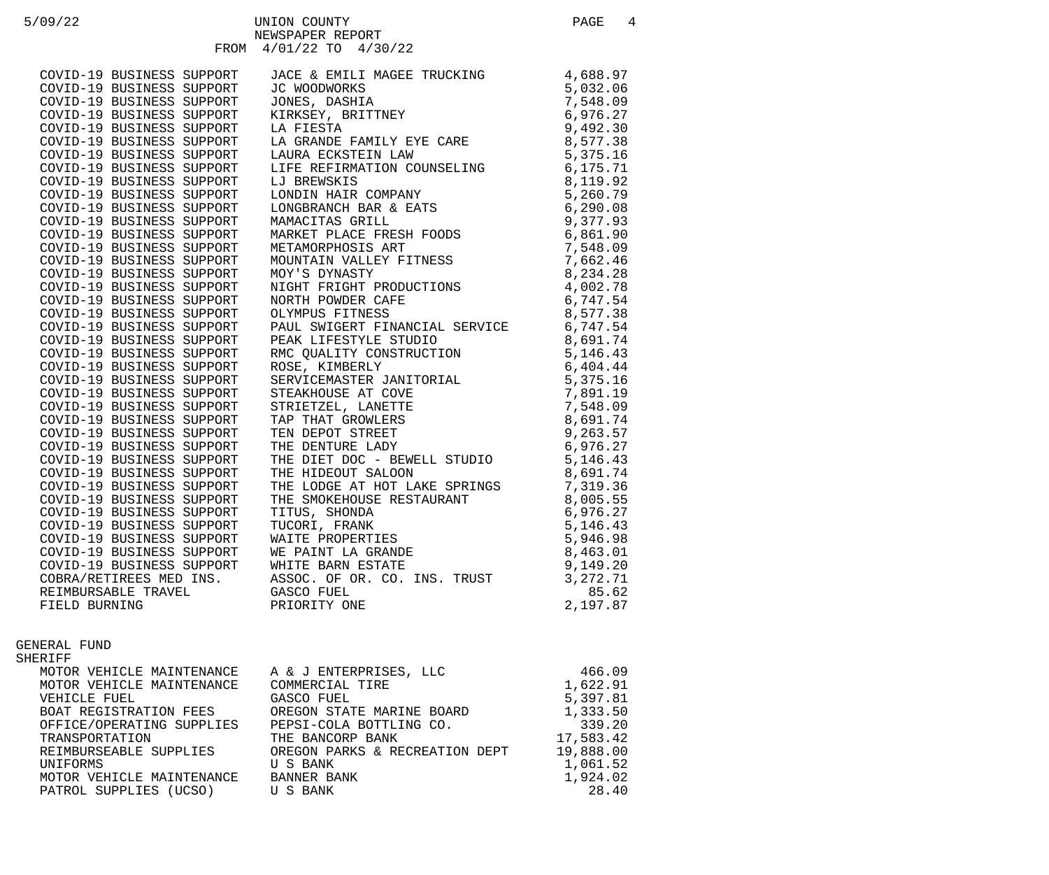| 5/09/22 |                                                                                                                                                                            | UNION COUNTY<br>NEWSPAPER REPORT                                | PAGE       | $\overline{4}$ |
|---------|----------------------------------------------------------------------------------------------------------------------------------------------------------------------------|-----------------------------------------------------------------|------------|----------------|
|         |                                                                                                                                                                            | FROM 4/01/22 TO 4/30/22                                         |            |                |
|         | COVID-19 BUSINESS SUPPORT                                                                                                                                                  | JACE & EMILI MAGEE TRUCKING                                     | 4,688.97   |                |
|         | COVID-19 BUSINESS SUPPORT                                                                                                                                                  | JC WOODWORKS                                                    | 5,032.06   |                |
|         | COVID-19 BUSINESS SUPPORT                                                                                                                                                  | JONES, DASHIA                                                   | 7,548.09   |                |
|         | COVID-19 BUSINESS SUPPORT                                                                                                                                                  | KIRKSEY, BRITTNEY                                               | 6,976.27   |                |
|         | COVID-19 BUSINESS SUPPORT                                                                                                                                                  | LA FIESTA                                                       | 9,492.30   |                |
|         | COVID-19 BUSINESS SUPPORT                                                                                                                                                  | LA GRANDE FAMILY EYE CARE                                       | 8,577.38   |                |
|         | COVID-19 BUSINESS SUPPORT                                                                                                                                                  | LAURA ECKSTEIN LAW                                              | 5,375.16   |                |
|         | COVID-19 BUSINESS SUPPORT                                                                                                                                                  | LIFE REFIRMATION COUNSELING                                     | 6, 175.71  |                |
|         | COVID-19 BUSINESS SUPPORT                                                                                                                                                  | LJ BREWSKIS                                                     | 8,119.92   |                |
|         | COVID-19 BUSINESS SUPPORT                                                                                                                                                  |                                                                 | 5,260.79   |                |
|         | COVID-19 BUSINESS SUPPORT                                                                                                                                                  | LONDIN HAIR COMPANY<br>LONGBRANCH BAR & EATS<br>MAMACITAS GRILL | 6,290.08   |                |
|         | COVID-19 BUSINESS SUPPORT                                                                                                                                                  | MAMACITAS GRILL                                                 | 9,377.93   |                |
|         | COVID-19 BUSINESS SUPPORT                                                                                                                                                  | MARKET PLACE FRESH FOODS                                        | 6,861.90   |                |
|         | COVID-19 BUSINESS SUPPORT                                                                                                                                                  | METAMORPHOSIS ART                                               | 7,548.09   |                |
|         | COVID-19 BUSINESS SUPPORT                                                                                                                                                  | MOUNTAIN VALLEY FITNESS                                         | 7,662.46   |                |
|         | COVID-19 BUSINESS SUPPORT                                                                                                                                                  | MOY'S DYNASTY                                                   | 8,234.28   |                |
|         | COVID-19 BOSINESS SOFFORT<br>COVID-19 BUSINESS SUPPORT<br>COVID-19 BUSINESS SUPPORT<br>COVID-19 BUSINESS SUPPORT                                                           | NIGHT FRIGHT PRODUCTIONS                                        | 4,002.78   |                |
|         |                                                                                                                                                                            | NORTH POWDER CAFE                                               | 6,747.54   |                |
|         |                                                                                                                                                                            | OLYMPUS FITNESS                                                 | 8,577.38   |                |
|         | COVID-19 BUSINESS SUPPORT<br>COVID-19 BUSINESS SUPPORT                                                                                                                     | PAUL SWIGERT FINANCIAL SERVICE                                  | 6,747.54   |                |
|         | COVID-19 BUSINESS SUPPORT                                                                                                                                                  | PEAK LIFESTYLE STUDIO                                           | 8,691.74   |                |
|         | COVID-19 BUSINESS SUPPORT                                                                                                                                                  | RMC QUALITY CONSTRUCTION<br>ROSE, KIMBERLY                      | 5, 146. 43 |                |
|         | COVID-19 BUSINESS SUPPORT                                                                                                                                                  | ROSE, KIMBERLY                                                  | 6,404.44   |                |
|         | COVID-19 BUSINESS SUPPORT                                                                                                                                                  | SERVICEMASTER JANITORIAL                                        | 5,375.16   |                |
|         | COVID-19 BUSINESS SUPPORT                                                                                                                                                  | STEAKHOUSE AT COVE                                              | 7,891.19   |                |
|         | COVID-19 BUSINESS SUPPORT                                                                                                                                                  | STRIETZEL, LANETTE                                              | 7,548.09   |                |
|         | COVID-19 BUSINESS SUPPORT                                                                                                                                                  | TAP THAT GROWLERS                                               | 8,691.74   |                |
|         |                                                                                                                                                                            | TEN DEPOT STREET                                                | 9,263.57   |                |
|         |                                                                                                                                                                            | THE DENTURE LADY                                                | 6,976.27   |                |
|         | COVID-19 BUSINESS SUPPORT<br>COVID-19 BUSINESS SUPPORT<br>COVID-19 BUSINESS SUPPORT<br>COVID-19 BUSINESS SUPPORT<br>COVID-19 BUSINESS SUPPORT<br>COVID-19 BUSINESS SUPPORT | THE DIET DOC - BEWELL STUDIO                                    | 5,146.43   |                |
|         |                                                                                                                                                                            | THE HIDEOUT SALOON                                              | 8,691.74   |                |
|         | COVID-19 BUSINESS SUPPORT                                                                                                                                                  | THE LODGE AT HOT LAKE SPRINGS                                   | 7,319.36   |                |
|         | COVID-19 BUSINESS SUPPORT                                                                                                                                                  | THE SMOKEHOUSE RESTAURANT                                       | 8,005.55   |                |
|         | COVID-19 BUSINESS SUPPORT                                                                                                                                                  | TITUS, SHONDA                                                   | 6,976.27   |                |
|         | COVID-19 BUSINESS SUPPORT                                                                                                                                                  | TUCORI, FRANK                                                   | 5, 146. 43 |                |
|         | COVID-19 BUSINESS SUPPORT                                                                                                                                                  | WAITE PROPERTIES                                                | 5,946.98   |                |
|         | COVID-19 BUSINESS SUPPORT                                                                                                                                                  | WE PAINT LA GRANDE                                              | 8,463.01   |                |
|         | COVID-19 BUSINESS SUPPORT                                                                                                                                                  | WHITE BARN ESTATE                                               | 9,149.20   |                |
|         | COBRA/RETIREES MED INS.                                                                                                                                                    | ASSOC. OF OR. CO. INS. TRUST                                    | 3, 272. 71 |                |

REIMBURSABLE TRAVEL GASCO FUEL 85.62 FIELD BURNING PRIORITY ONE

## GENERAL FUND

SHERIFF

| MOTOR VEHICLE MAINTENANCE       | A & J ENTERPRISES, LLC         | 466.09    |
|---------------------------------|--------------------------------|-----------|
| MOTOR VEHICLE MAINTENANCE       | COMMERCIAL TIRE                | 1,622.91  |
| VEHICLE FUEL                    | GASCO FUEL                     | 5,397.81  |
| BOAT REGISTRATION FEES          | OREGON STATE MARINE BOARD      | 1,333.50  |
| OFFICE/OPERATING SUPPLIES       | PEPSI-COLA BOTTLING CO.        | 339.20    |
| TRANSPORTATION                  | THE BANCORP BANK               | 17,583.42 |
| REIMBURSEABLE SUPPLIES          | OREGON PARKS & RECREATION DEPT | 19,888.00 |
| UNIFORMS                        | U S BANK                       | 1,061.52  |
| MOTOR VEHICLE MAINTENANCE       | BANNER BANK                    | 1,924.02  |
| PATROL SUPPLIES (UCSO) U S BANK |                                | 28.40     |
|                                 |                                |           |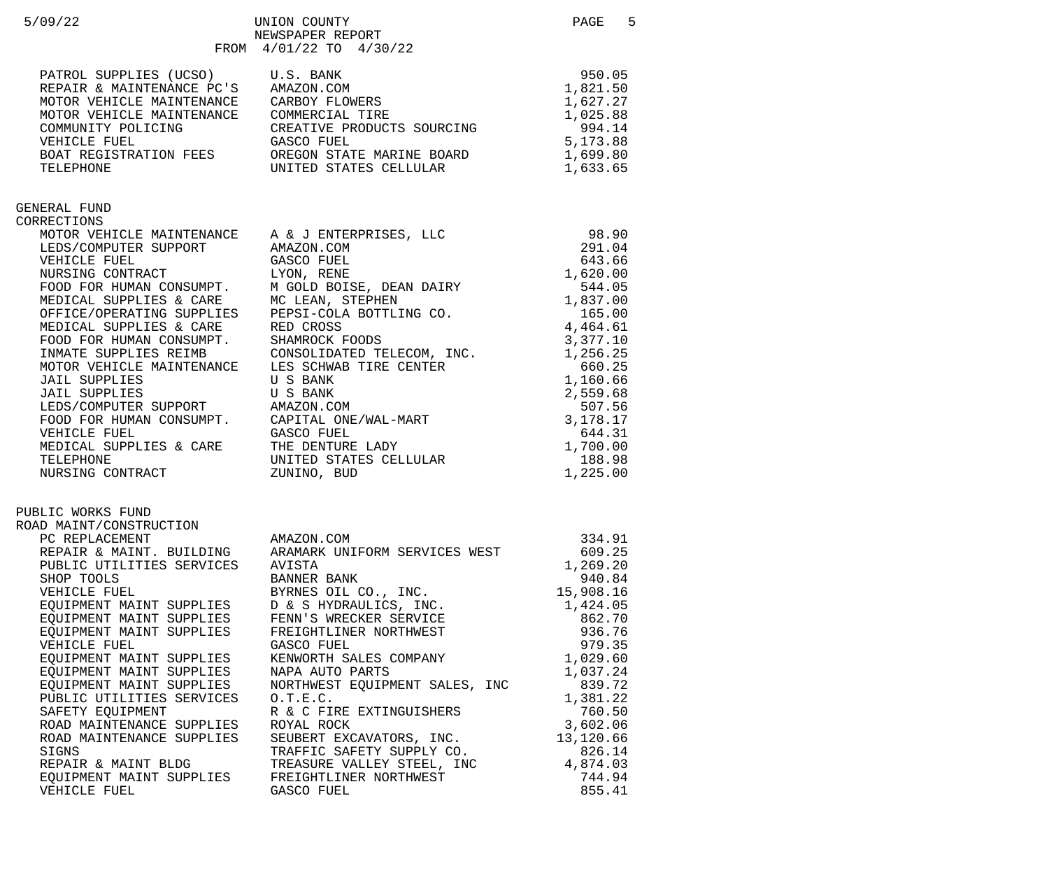| 5/09/22                                                                                                                                                                                                                                                                                                                                                                                                                                                                                                                              | UNION COUNTY<br>NEWSPAPER REPORT<br>FROM 4/01/22 TO 4/30/22                                                                                                                                                                                                                                                                                                                                                                                                                                                                                                                                                                                                                                                                                                   | 5<br>PAGE                                                                                                                                                                                                                |
|--------------------------------------------------------------------------------------------------------------------------------------------------------------------------------------------------------------------------------------------------------------------------------------------------------------------------------------------------------------------------------------------------------------------------------------------------------------------------------------------------------------------------------------|---------------------------------------------------------------------------------------------------------------------------------------------------------------------------------------------------------------------------------------------------------------------------------------------------------------------------------------------------------------------------------------------------------------------------------------------------------------------------------------------------------------------------------------------------------------------------------------------------------------------------------------------------------------------------------------------------------------------------------------------------------------|--------------------------------------------------------------------------------------------------------------------------------------------------------------------------------------------------------------------------|
| PATROL SUPPLIES (UCSO) U.S. BANK<br>REPAIR & MAINTENANCE PC'S AMAZON.COM<br>MOTOR VEHICLE MAINTENANCE CARBOY FLOWERS<br>COMMUNITY POLICING<br>VEHICLE FUEL                                                                                                                                                                                                                                                                                                                                                                           | MOTOR VEHICLE MAINTENANCE COMMERCIAL TIRE<br>CREATIVE PRODUCTS SOURCING<br>GASCO FUEL                                                                                                                                                                                                                                                                                                                                                                                                                                                                                                                                                                                                                                                                         | 950.05<br>1,821.50<br>1,627.27<br>1,025.88<br>994.14<br>5,173.88<br>1,699.80<br>1,633.65                                                                                                                                 |
| GENERAL FUND<br>CORRECTIONS<br>VEHICLE FUEL<br>MEDICAL SUPPLIES & CARE RED CROSS<br><b>JAIL SUPPLIES</b><br><b>JAIL SUPPLIES</b><br>VEHICLE FUEL<br>TELEPHONE<br>NURSING CONTRACT                                                                                                                                                                                                                                                                                                                                                    | MOTOR VEHICLE MAINTENANCE A & J ENTERPRISES, LLC<br>LEDS/COMPUTER SUPPORT AMAZON.COM<br>INDICAT PILLE<br>GASCO FUEL<br>NURSING CONTRACT<br>FOOD FOR HUMAN CONSUMPT. M GOLD BOISE, DEAN DAIRY<br>MEDICAL SUPPLIES & CARE MC LEAN, STEPHEN<br>OFFICE/OPERATING SUPPLIES PEPSI-COLA BOTTLING CO.<br>MEDICAL SUPPLIES & CARE RED CROSS<br>FOOD FOR HUMAN CONSUMPT. SHAMROCK FOODS<br>INMATE SUPPLIES REIMB CONSOLIDATED TELECOM, INC.<br>MOTOR VEHICLE MAINTENANCE LES SCHWAB TIRE CENTER<br>U S BANK<br>U S BANK<br>JAIL SUPPLIES                     U S BANK<br>LEDS/COMPUTER SUPPORT       AMAZON.COM<br>FOOD FOR HUMAN CONSUMPT.     CAPITAL ONE/WAL-MART<br>GASCO FUEL<br>MEDICAL SUPPLIES & CARE THE DENTURE LADY<br>UNITED STATES CELLULAR<br>ZUNINO, BUD | 98.90<br>291.04<br>643.66<br>1,620.00<br>544.05<br>1,837.00<br>165.00<br>4,464.61<br>3,377.10<br>1,256.25<br>660.25<br>1,160.66<br>2,559.68<br>507.56<br>3,178.17<br>644.31<br>1,700.00<br>188.98<br>1,225.00            |
| PUBLIC WORKS FUND<br>ROAD MAINT/CONSTRUCTION<br>PC REPLACEMENT<br>REPAIR & MAINT. BUILDING<br>PUBLIC UTILITIES SERVICES<br>SHOP TOOLS<br>VEHICLE FUEL<br>EQUIPMENT MAINT SUPPLIES<br>EQUIPMENT MAINT SUPPLIES<br>EQUIPMENT MAINT SUPPLIES<br>VEHICLE FUEL<br>EQUIPMENT MAINT SUPPLIES<br>EQUIPMENT MAINT SUPPLIES<br>EQUIPMENT MAINT SUPPLIES<br>PUBLIC UTILITIES SERVICES<br>SAFETY EQUIPMENT<br>ROAD MAINTENANCE SUPPLIES<br>ROAD MAINTENANCE SUPPLIES<br>SIGNS<br>REPAIR & MAINT BLDG<br>EQUIPMENT MAINT SUPPLIES<br>VEHICLE FUEL | AMAZON.COM<br>ARAMARK UNIFORM SERVICES WEST<br>AVISTA<br>BANNER BANK<br>BYRNES OIL CO., INC.<br>D & S HYDRAULICS, INC.<br>FENN'S WRECKER SERVICE<br>FREIGHTLINER NORTHWEST<br>GASCO FUEL<br>KENWORTH SALES COMPANY<br>NAPA AUTO PARTS<br>NORTHWEST EQUIPMENT SALES, INC<br>0.T.E.C.<br>R & C FIRE EXTINGUISHERS<br>ROYAL ROCK<br>SEUBERT EXCAVATORS, INC.<br>TRAFFIC SAFETY SUPPLY CO.<br>TREASURE VALLEY STEEL, INC<br>FREIGHTLINER NORTHWEST<br>GASCO FUEL                                                                                                                                                                                                                                                                                                  | 334.91<br>609.25<br>1,269.20<br>940.84<br>15,908.16<br>1,424.05<br>862.70<br>936.76<br>979.35<br>1,029.60<br>1,037.24<br>839.72<br>1,381.22<br>760.50<br>3,602.06<br>13,120.66<br>826.14<br>4,874.03<br>744.94<br>855.41 |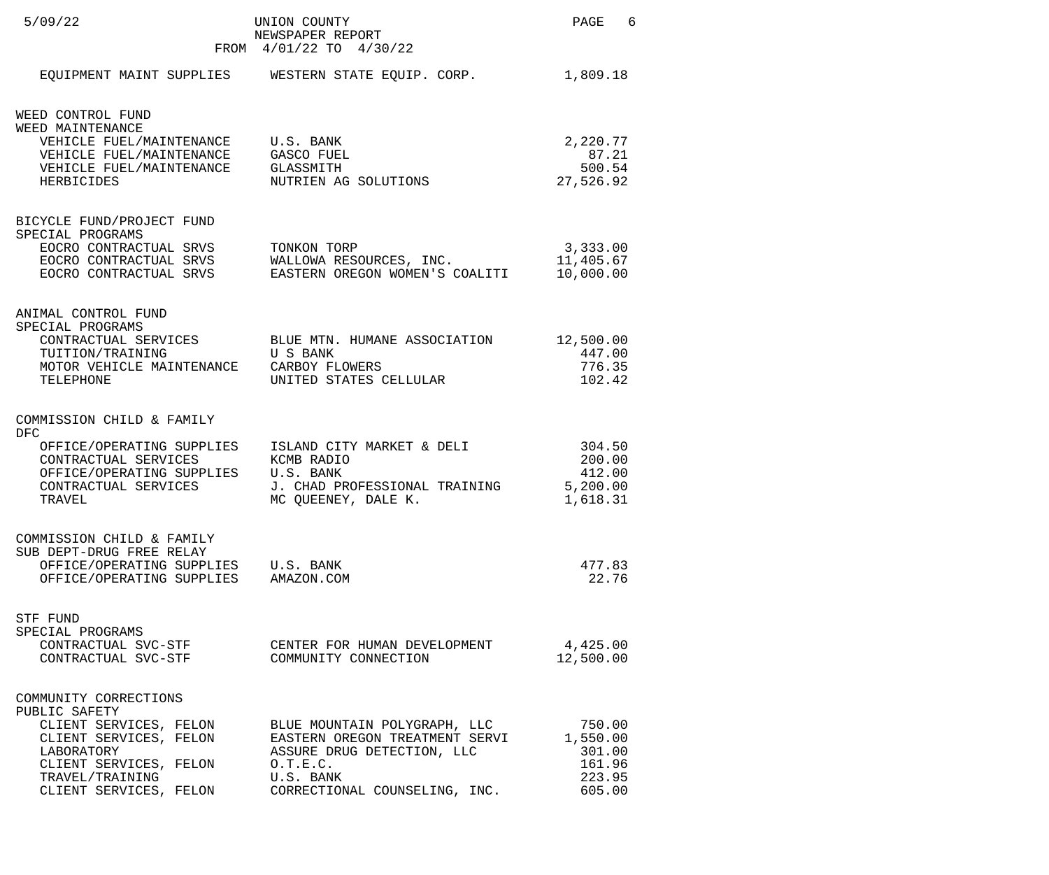| 5/09/22                                                                                                                                                                         | UNION COUNTY<br>NEWSPAPER REPORT<br>FROM 4/01/22 TO 4/30/22                                                                                              | PAGE 6                                                     |
|---------------------------------------------------------------------------------------------------------------------------------------------------------------------------------|----------------------------------------------------------------------------------------------------------------------------------------------------------|------------------------------------------------------------|
|                                                                                                                                                                                 | EQUIPMENT MAINT SUPPLIES WESTERN STATE EQUIP. CORP.                                                                                                      | 1,809.18                                                   |
| WEED CONTROL FUND<br>WEED MAINTENANCE<br>VEHICLE FUEL/MAINTENANCE U.S. BANK<br>VEHICLE FUEL/MAINTENANCE GASCO FUEL<br>VEHICLE FUEL/MAINTENANCE GLASSMITH<br>HERBICIDES          | NUTRIEN AG SOLUTIONS                                                                                                                                     | 2,220.77<br>87.21<br>500.54<br>27,526.92                   |
| BICYCLE FUND/PROJECT FUND<br>SPECIAL PROGRAMS<br>EOCRO CONTRACTUAL SRVS<br>EOCRO CONTRACTUAL SRVS                                                                               | TONKON TORP<br>EOCRO CONTRACTUAL SRVS WALLOWA RESOURCES, INC.<br>EOCRO CONTRACTUAL SRVS EASTERN OREGON WOMEN'S COALITI<br>EASTERN OREGON WOMEN'S COALITI | 3,333.00<br>11,405.67<br>10,000.00                         |
| ANIMAL CONTROL FUND<br>SPECIAL PROGRAMS<br>TUITION/TRAINING<br>MOTOR VEHICLE MAINTENANCE CARBOY FLOWERS<br>TELEPHONE                                                            | CONTRACTUAL SERVICES BLUE MTN. HUMANE ASSOCIATION 12,500.00<br>U S BANK<br>UNITED STATES CELLULAR                                                        | 447.00<br>776.35<br>102.42                                 |
| COMMISSION CHILD & FAMILY<br><b>DFC</b><br>CONTRACTUAL SERVICES<br>OFFICE/OPERATING SUPPLIES U.S. BANK<br>CONTRACTUAL SERVICES<br>TRAVEL                                        | OFFICE/OPERATING SUPPLIES ISLAND CITY MARKET & DELI<br>KCMB RADIO<br>J. CHAD PROFESSIONAL TRAINING<br>MC QUEENEY, DALE K.                                | 304.50<br>200.00<br>412.00<br>5,200.00<br>1,618.31         |
| COMMISSION CHILD & FAMILY<br>SUB DEPT-DRUG FREE RELAY<br>OFFICE/OPERATING SUPPLIES U.S. BANK<br>OFFICE/OPERATING SUPPLIES AMAZON.COM                                            |                                                                                                                                                          | 477.83<br>22.76                                            |
| STF FUND<br>SPECIAL PROGRAMS<br>CONTRACTUAL SVC-STF<br>CONTRACTUAL SVC-STF                                                                                                      | CENTER FOR HUMAN DEVELOPMENT<br>COMMUNITY CONNECTION                                                                                                     | 4,425.00<br>12,500.00                                      |
| COMMUNITY CORRECTIONS<br>PUBLIC SAFETY<br>CLIENT SERVICES, FELON<br>CLIENT SERVICES, FELON<br>LABORATORY<br>CLIENT SERVICES, FELON<br>TRAVEL/TRAINING<br>CLIENT SERVICES, FELON | BLUE MOUNTAIN POLYGRAPH, LLC<br>EASTERN OREGON TREATMENT SERVI<br>ASSURE DRUG DETECTION, LLC<br>0.T.E.C.<br>U.S. BANK<br>CORRECTIONAL COUNSELING, INC.   | 750.00<br>1,550.00<br>301.00<br>161.96<br>223.95<br>605.00 |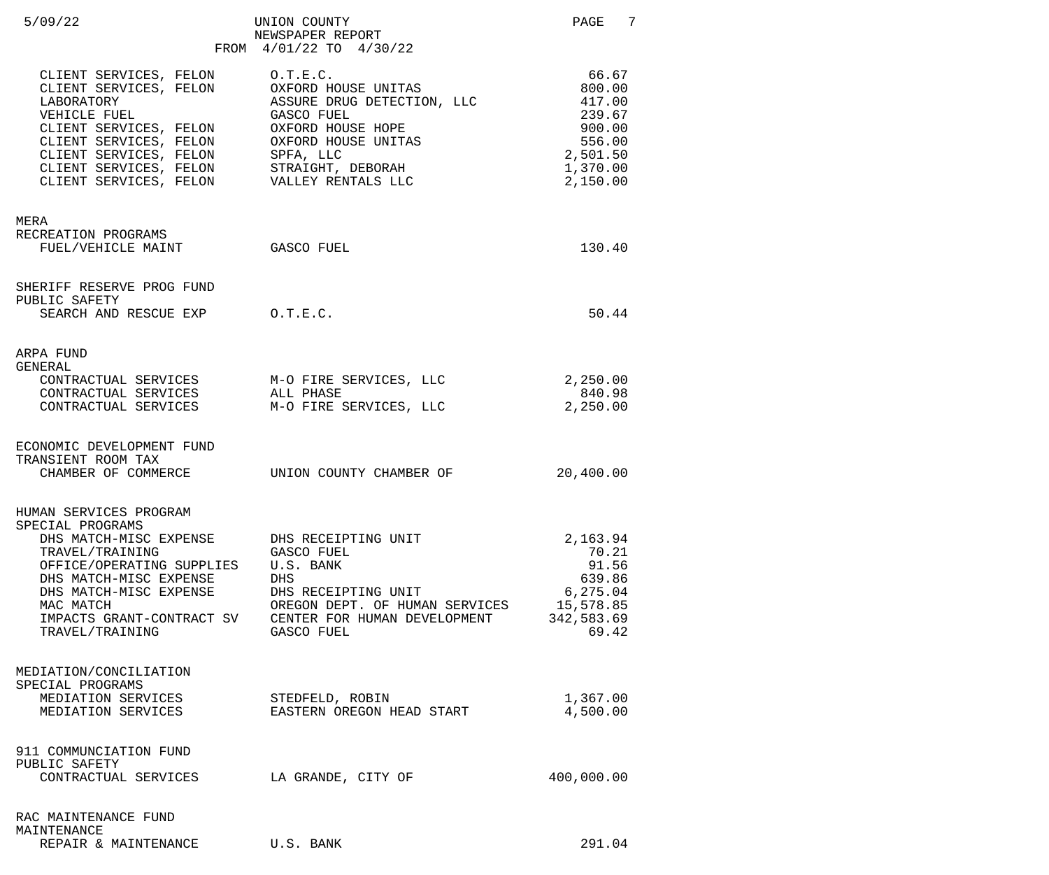| 5/09/22                                                                                                                                                                                                                               | UNION COUNTY<br>NEWSPAPER REPORT<br>FROM 4/01/22 TO 4/30/22                                                                                                                                                                            | PAGE 7                                                                                      |
|---------------------------------------------------------------------------------------------------------------------------------------------------------------------------------------------------------------------------------------|----------------------------------------------------------------------------------------------------------------------------------------------------------------------------------------------------------------------------------------|---------------------------------------------------------------------------------------------|
| CLIENT SERVICES, FELON<br>LABORATORY<br>VEHICLE FUEL<br>CLIENT SERVICES, FELON OXFORD HOUSE HOPE<br>CLIENT SERVICES, FELON<br>CLIENT SERVICES, FELON SPFA, LLC<br>CLIENT SERVICES, FELON VALLEY RENTALS LLC                           | O.T.E.C.<br>CLIENT SERVICES, FELON OXFORD HOUSE UNITAS<br>ASSURE DRUG DETECTION, LLC<br>GASCO FUEL<br>OXFORD HOUSE HOPE<br>OXFORD HOUSE UNITAS<br>CLIENT SERVICES, FELON STRAIGHT, DEBORAH<br>CLIENT SERVICES FELON VALLEY RENTALS LLC | 66.67<br>800.00<br>417.00<br>239.67<br>900.00<br>556.00<br>2,501.50<br>1,370.00<br>2,150.00 |
| MERA<br>RECREATION PROGRAMS<br>FUEL/VEHICLE MAINT GASCO FUEL                                                                                                                                                                          |                                                                                                                                                                                                                                        | 130.40                                                                                      |
| SHERIFF RESERVE PROG FUND<br>PUBLIC SAFETY<br>SEARCH AND RESCUE EXP 0.T.E.C.                                                                                                                                                          |                                                                                                                                                                                                                                        | 50.44                                                                                       |
| ARPA FUND<br>GENERAL<br>CONTRACTUAL SERVICES<br>CONTRACTUAL SERVICES                                                                                                                                                                  | CONTRACTUAL SERVICES M-O FIRE SERVICES, LLC<br>ALL PHASE<br>M-O FIRE SERVICES, LLC                                                                                                                                                     | 2,250.00<br>840.98<br>2,250.00                                                              |
| ECONOMIC DEVELOPMENT FUND<br>TRANSIENT ROOM TAX<br>CHAMBER OF COMMERCE UNION COUNTY CHAMBER OF                                                                                                                                        |                                                                                                                                                                                                                                        | 20,400.00                                                                                   |
| HUMAN SERVICES PROGRAM<br>SPECIAL PROGRAMS<br>DHS MATCH-MISC EXPENSE<br>TRAVEL/TRAINING<br>OFFICE/OPERATING SUPPLIES<br>DHS MATCH-MISC EXPENSE<br>DHS MATCH-MISC EXPENSE<br>MAC MATCH<br>IMPACTS GRANT-CONTRACT SV<br>TRAVEL/TRAINING | DHS RECEIPTING UNIT<br>GASCO FUEL<br>U.S. BANK<br>DHS<br>DHS RECEIPTING UNIT<br>OREGON DEPT. OF HUMAN SERVICES 15,578.85<br>CENTER FOR HUMAN DEVELOPMENT<br>GASCO FUEL                                                                 | 2,163.94<br>70.21<br>91.56<br>639.86<br>6,275.04<br>342,583.69<br>69.42                     |
| MEDIATION/CONCILIATION<br>SPECIAL PROGRAMS<br>MEDIATION SERVICES<br>MEDIATION SERVICES                                                                                                                                                | STEDFELD, ROBIN<br>EASTERN OREGON HEAD START                                                                                                                                                                                           | 1,367.00<br>4,500.00                                                                        |
| 911 COMMUNCIATION FUND<br>PUBLIC SAFETY<br>CONTRACTUAL SERVICES                                                                                                                                                                       | LA GRANDE, CITY OF                                                                                                                                                                                                                     | 400,000.00                                                                                  |
| RAC MAINTENANCE FUND<br>MAINTENANCE<br>REPAIR & MAINTENANCE                                                                                                                                                                           | U.S. BANK                                                                                                                                                                                                                              | 291.04                                                                                      |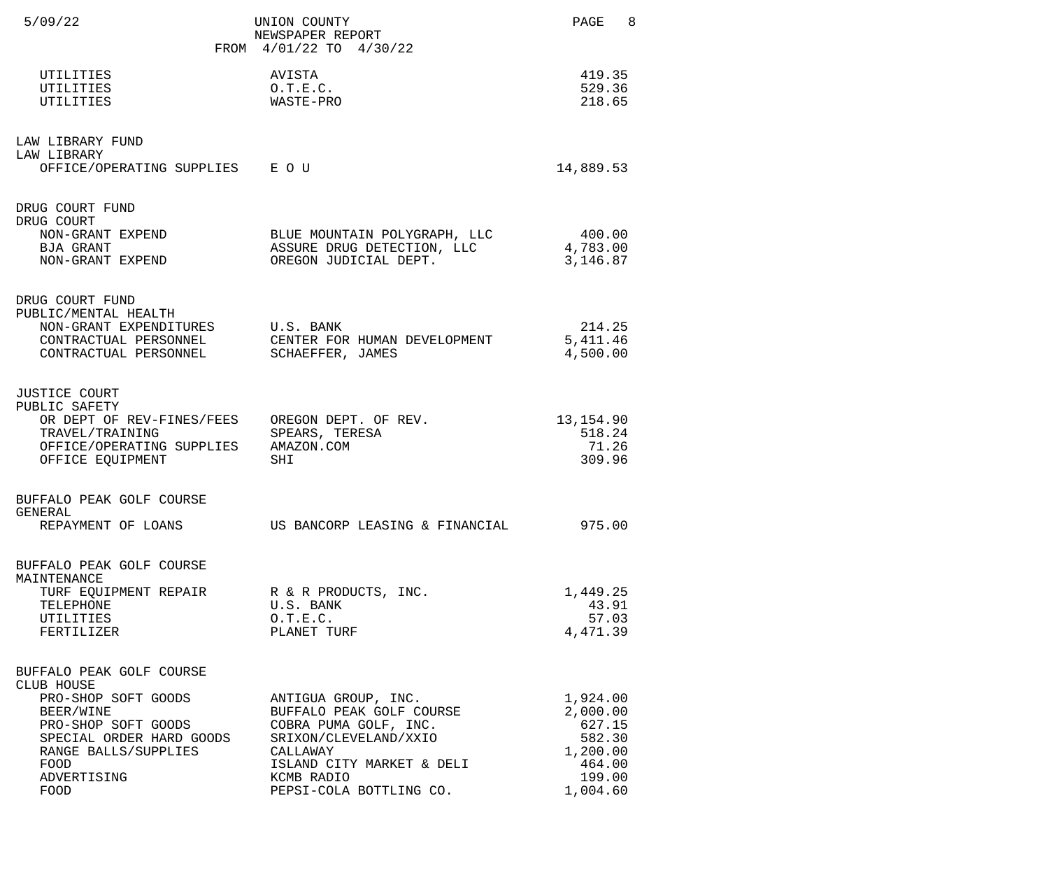| 5/09/22                                                                                                                                                                                     | UNION COUNTY<br>NEWSPAPER REPORT<br>FROM 4/01/22 TO 4/30/22                                                                                                                         | 8<br>PAGE                                                                            |
|---------------------------------------------------------------------------------------------------------------------------------------------------------------------------------------------|-------------------------------------------------------------------------------------------------------------------------------------------------------------------------------------|--------------------------------------------------------------------------------------|
| UTILITIES<br>UTILITIES<br>UTILITIES                                                                                                                                                         | AVISTA<br>0.T.E.C.<br>WASTE-PRO                                                                                                                                                     | 419.35<br>529.36<br>218.65                                                           |
| LAW LIBRARY FUND<br>LAW LIBRARY<br>OFFICE/OPERATING SUPPLIES E O U                                                                                                                          |                                                                                                                                                                                     | 14,889.53                                                                            |
| DRUG COURT FUND<br>DRUG COURT<br>NON-GRANT EXPEND<br>BJA GRANT<br>NON-GRANT EXPEND                                                                                                          | BLUE MOUNTAIN POLYGRAPH, LLC<br>ASSURE DRUG DETECTION, LLC<br>OREGON JUDICIAL DEPT.                                                                                                 | 400.00<br>4,783.00<br>3,146.87                                                       |
| DRUG COURT FUND<br>PUBLIC/MENTAL HEALTH<br>NON-GRANT EXPENDITURES<br>CONTRACTUAL PERSONNEL<br>CONTRACTUAL PERSONNEL                                                                         | U.S. BANK<br>CENTER FOR HUMAN DEVELOPMENT<br>SCHAEFFER, JAMES                                                                                                                       | 214.25<br>5,411.46<br>4,500.00                                                       |
| <b>JUSTICE COURT</b><br>PUBLIC SAFETY<br>OR DEPT OF REV-FINES/FEES<br>TRAVEL/TRAINING<br>OFFICE/OPERATING SUPPLIES<br>OFFICE EQUIPMENT                                                      | OREGON DEPT. OF REV.<br>SPEARS, TERESA<br>AMAZON.COM<br>SHI                                                                                                                         | 13, 154.90<br>518.24<br>71.26<br>309.96                                              |
| BUFFALO PEAK GOLF COURSE<br>GENERAL<br>REPAYMENT OF LOANS                                                                                                                                   | US BANCORP LEASING & FINANCIAL                                                                                                                                                      | 975.00                                                                               |
| BUFFALO PEAK GOLF COURSE<br>MAINTENANCE<br>TELEPHONE<br><b>UTILITIES</b><br>FERTILIZER                                                                                                      | TURF EQUIPMENT REPAIR TRE R & R PRODUCTS, INC.<br>U.S. BANK<br>0.T.E.C.<br>PLANET TURF                                                                                              | 1,449.25<br>43.91<br>57.03<br>4,471.39                                               |
| BUFFALO PEAK GOLF COURSE<br>CLUB HOUSE<br>PRO-SHOP SOFT GOODS<br>BEER/WINE<br>PRO-SHOP SOFT GOODS<br>SPECIAL ORDER HARD GOODS<br>RANGE BALLS/SUPPLIES<br><b>FOOD</b><br>ADVERTISING<br>FOOD | ANTIGUA GROUP, INC.<br>BUFFALO PEAK GOLF COURSE<br>COBRA PUMA GOLF, INC.<br>SRIXON/CLEVELAND/XXIO<br>CALLAWAY<br>ISLAND CITY MARKET & DELI<br>KCMB RADIO<br>PEPSI-COLA BOTTLING CO. | 1,924.00<br>2,000.00<br>627.15<br>582.30<br>1,200.00<br>464.00<br>199.00<br>1,004.60 |